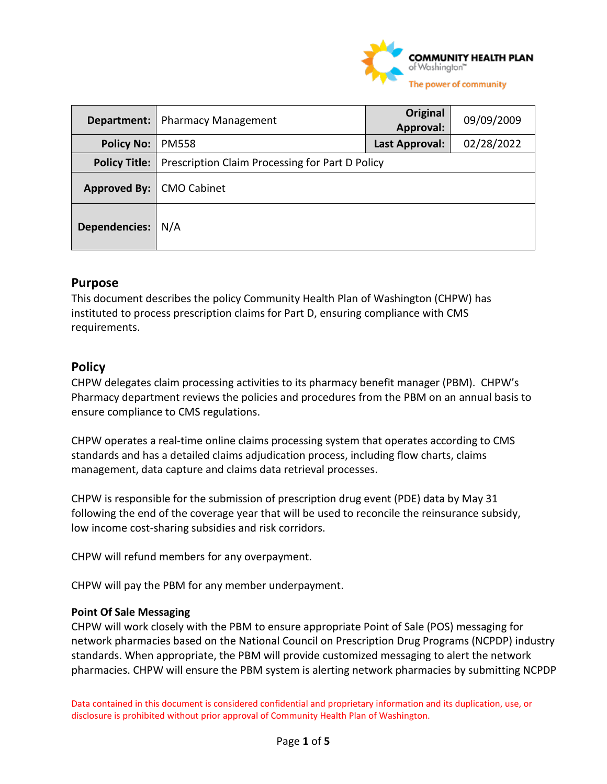

| Department:          | <b>Pharmacy Management</b>                      | Original<br>Approval: | 09/09/2009 |
|----------------------|-------------------------------------------------|-----------------------|------------|
| <b>Policy No:</b>    | <b>PM558</b>                                    | Last Approval:        | 02/28/2022 |
| <b>Policy Title:</b> | Prescription Claim Processing for Part D Policy |                       |            |
| Approved By:         | <b>CMO Cabinet</b>                              |                       |            |
| <b>Dependencies:</b> | N/A                                             |                       |            |

## **Purpose**

This document describes the policy Community Health Plan of Washington (CHPW) has instituted to process prescription claims for Part D, ensuring compliance with CMS requirements.

#### **Policy**

CHPW delegates claim processing activities to its pharmacy benefit manager (PBM). CHPW's Pharmacy department reviews the policies and procedures from the PBM on an annual basis to ensure compliance to CMS regulations.

CHPW operates a real-time online claims processing system that operates according to CMS standards and has a detailed claims adjudication process, including flow charts, claims management, data capture and claims data retrieval processes.

CHPW is responsible for the submission of prescription drug event (PDE) data by May 31 following the end of the coverage year that will be used to reconcile the reinsurance subsidy, low income cost-sharing subsidies and risk corridors.

CHPW will refund members for any overpayment.

CHPW will pay the PBM for any member underpayment.

#### **Point Of Sale Messaging**

CHPW will work closely with the PBM to ensure appropriate Point of Sale (POS) messaging for network pharmacies based on the National Council on Prescription Drug Programs (NCPDP) industry standards. When appropriate, the PBM will provide customized messaging to alert the network pharmacies. CHPW will ensure the PBM system is alerting network pharmacies by submitting NCPDP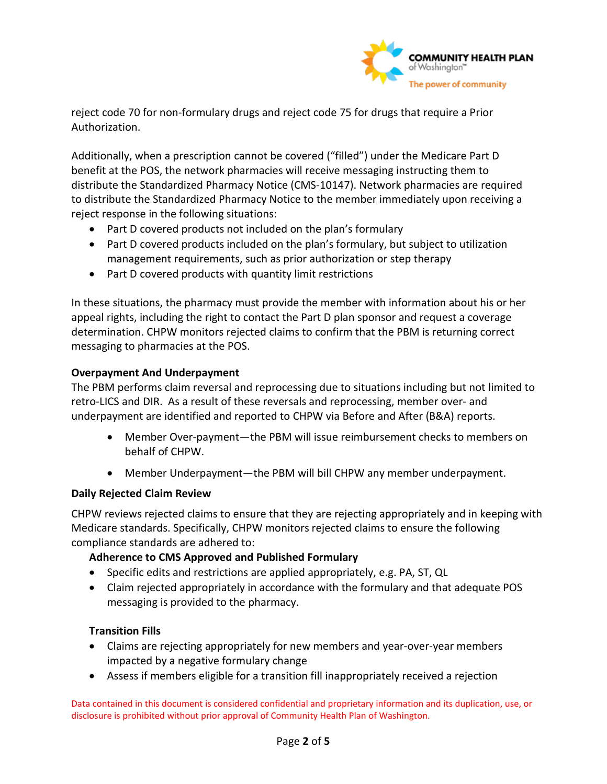

reject code 70 for non-formulary drugs and reject code 75 for drugs that require a Prior Authorization.

Additionally, when a prescription cannot be covered ("filled") under the Medicare Part D benefit at the POS, the network pharmacies will receive messaging instructing them to distribute the Standardized Pharmacy Notice (CMS-10147). Network pharmacies are required to distribute the Standardized Pharmacy Notice to the member immediately upon receiving a reject response in the following situations:

- Part D covered products not included on the plan's formulary
- Part D covered products included on the plan's formulary, but subject to utilization management requirements, such as prior authorization or step therapy
- Part D covered products with quantity limit restrictions

In these situations, the pharmacy must provide the member with information about his or her appeal rights, including the right to contact the Part D plan sponsor and request a coverage determination. CHPW monitors rejected claims to confirm that the PBM is returning correct messaging to pharmacies at the POS.

#### **Overpayment And Underpayment**

The PBM performs claim reversal and reprocessing due to situations including but not limited to retro-LICS and DIR. As a result of these reversals and reprocessing, member over- and underpayment are identified and reported to CHPW via Before and After (B&A) reports.

- Member Over-payment—the PBM will issue reimbursement checks to members on behalf of CHPW.
- Member Underpayment—the PBM will bill CHPW any member underpayment.

#### **Daily Rejected Claim Review**

CHPW reviews rejected claims to ensure that they are rejecting appropriately and in keeping with Medicare standards. Specifically, CHPW monitors rejected claims to ensure the following compliance standards are adhered to:

#### **Adherence to CMS Approved and Published Formulary**

- Specific edits and restrictions are applied appropriately, e.g. PA, ST, QL
- Claim rejected appropriately in accordance with the formulary and that adequate POS messaging is provided to the pharmacy.

#### **Transition Fills**

- Claims are rejecting appropriately for new members and year-over-year members impacted by a negative formulary change
- Assess if members eligible for a transition fill inappropriately received a rejection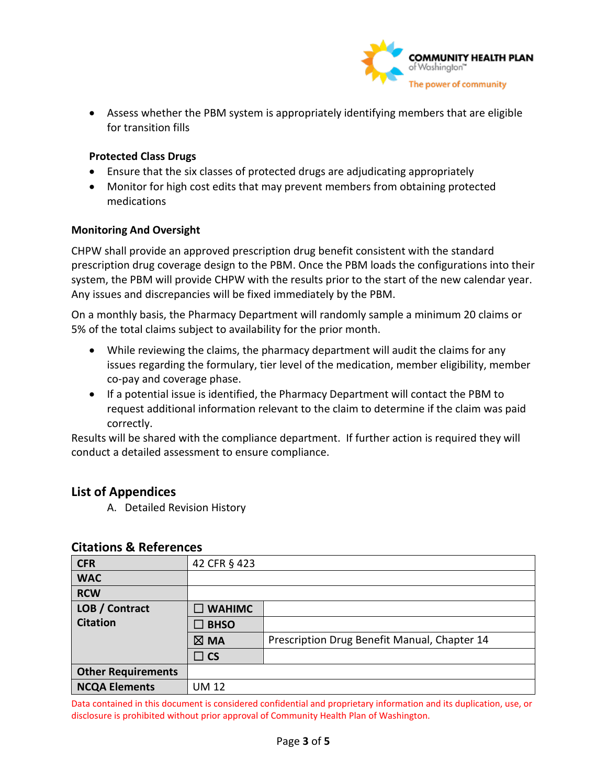

• Assess whether the PBM system is appropriately identifying members that are eligible for transition fills

#### **Protected Class Drugs**

- Ensure that the six classes of protected drugs are adjudicating appropriately
- Monitor for high cost edits that may prevent members from obtaining protected medications

#### **Monitoring And Oversight**

CHPW shall provide an approved prescription drug benefit consistent with the standard prescription drug coverage design to the PBM. Once the PBM loads the configurations into their system, the PBM will provide CHPW with the results prior to the start of the new calendar year. Any issues and discrepancies will be fixed immediately by the PBM.

On a monthly basis, the Pharmacy Department will randomly sample a minimum 20 claims or 5% of the total claims subject to availability for the prior month.

- While reviewing the claims, the pharmacy department will audit the claims for any issues regarding the formulary, tier level of the medication, member eligibility, member co-pay and coverage phase.
- If a potential issue is identified, the Pharmacy Department will contact the PBM to request additional information relevant to the claim to determine if the claim was paid correctly.

Results will be shared with the compliance department. If further action is required they will conduct a detailed assessment to ensure compliance.

## **List of Appendices**

A. Detailed Revision History

## **Citations & References**

| <b>CFR</b>                | 42 CFR § 423                                                   |  |
|---------------------------|----------------------------------------------------------------|--|
| <b>WAC</b>                |                                                                |  |
| <b>RCW</b>                |                                                                |  |
| LOB / Contract            | $\square$ WAHIMC                                               |  |
| <b>Citation</b>           | <b>BHSO</b>                                                    |  |
|                           | Prescription Drug Benefit Manual, Chapter 14<br>$\boxtimes$ MA |  |
|                           | $\Box$ CS                                                      |  |
| <b>Other Requirements</b> |                                                                |  |
| <b>NCQA Elements</b>      | <b>UM 12</b>                                                   |  |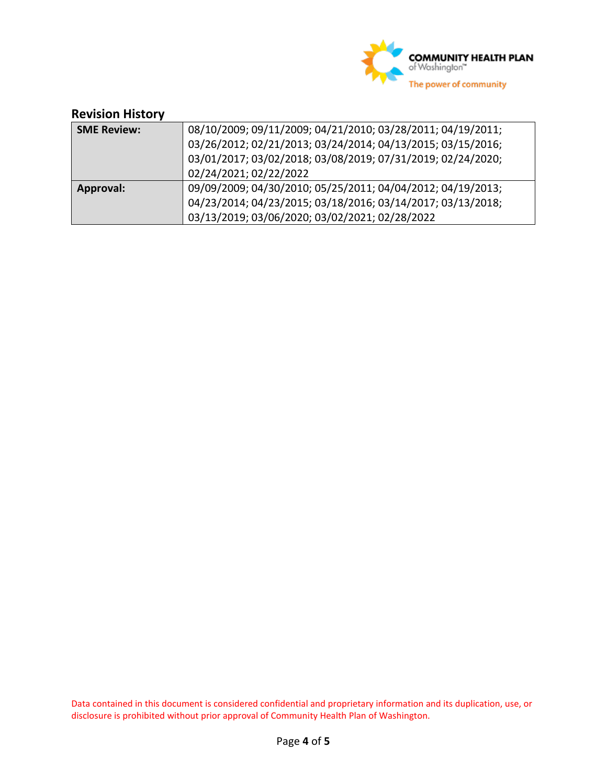

# **Revision History**

| <b>SME Review:</b> | 08/10/2009; 09/11/2009; 04/21/2010; 03/28/2011; 04/19/2011; |  |
|--------------------|-------------------------------------------------------------|--|
|                    | 03/26/2012; 02/21/2013; 03/24/2014; 04/13/2015; 03/15/2016; |  |
|                    | 03/01/2017; 03/02/2018; 03/08/2019; 07/31/2019; 02/24/2020; |  |
|                    | 02/24/2021; 02/22/2022                                      |  |
| Approval:          | 09/09/2009; 04/30/2010; 05/25/2011; 04/04/2012; 04/19/2013; |  |
|                    | 04/23/2014; 04/23/2015; 03/18/2016; 03/14/2017; 03/13/2018; |  |
|                    | 03/13/2019; 03/06/2020; 03/02/2021; 02/28/2022              |  |